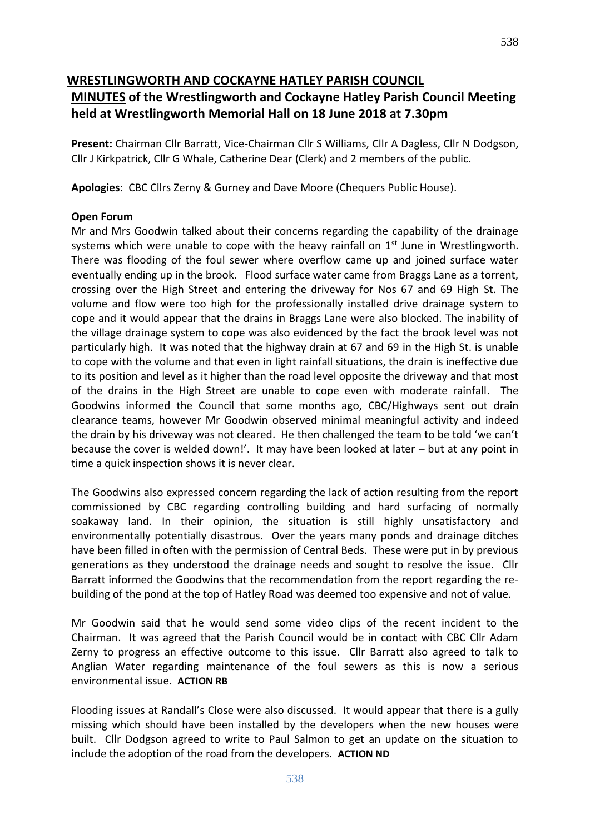#### **WRESTLINGWORTH AND COCKAYNE HATLEY PARISH COUNCIL**

### **MINUTES of the Wrestlingworth and Cockayne Hatley Parish Council Meeting held at Wrestlingworth Memorial Hall on 18 June 2018 at 7.30pm**

**Present:** Chairman Cllr Barratt, Vice-Chairman Cllr S Williams, Cllr A Dagless, Cllr N Dodgson, Cllr J Kirkpatrick, Cllr G Whale, Catherine Dear (Clerk) and 2 members of the public.

**Apologies**: CBC Cllrs Zerny & Gurney and Dave Moore (Chequers Public House).

#### **Open Forum**

Mr and Mrs Goodwin talked about their concerns regarding the capability of the drainage systems which were unable to cope with the heavy rainfall on  $1<sup>st</sup>$  June in Wrestlingworth. There was flooding of the foul sewer where overflow came up and joined surface water eventually ending up in the brook. Flood surface water came from Braggs Lane as a torrent, crossing over the High Street and entering the driveway for Nos 67 and 69 High St. The volume and flow were too high for the professionally installed drive drainage system to cope and it would appear that the drains in Braggs Lane were also blocked. The inability of the village drainage system to cope was also evidenced by the fact the brook level was not particularly high. It was noted that the highway drain at 67 and 69 in the High St. is unable to cope with the volume and that even in light rainfall situations, the drain is ineffective due to its position and level as it higher than the road level opposite the driveway and that most of the drains in the High Street are unable to cope even with moderate rainfall. The Goodwins informed the Council that some months ago, CBC/Highways sent out drain clearance teams, however Mr Goodwin observed minimal meaningful activity and indeed the drain by his driveway was not cleared. He then challenged the team to be told 'we can't because the cover is welded down!'. It may have been looked at later – but at any point in time a quick inspection shows it is never clear.

The Goodwins also expressed concern regarding the lack of action resulting from the report commissioned by CBC regarding controlling building and hard surfacing of normally soakaway land. In their opinion, the situation is still highly unsatisfactory and environmentally potentially disastrous. Over the years many ponds and drainage ditches have been filled in often with the permission of Central Beds. These were put in by previous generations as they understood the drainage needs and sought to resolve the issue. Cllr Barratt informed the Goodwins that the recommendation from the report regarding the rebuilding of the pond at the top of Hatley Road was deemed too expensive and not of value.

Mr Goodwin said that he would send some video clips of the recent incident to the Chairman. It was agreed that the Parish Council would be in contact with CBC Cllr Adam Zerny to progress an effective outcome to this issue. Cllr Barratt also agreed to talk to Anglian Water regarding maintenance of the foul sewers as this is now a serious environmental issue. **ACTION RB**

Flooding issues at Randall's Close were also discussed. It would appear that there is a gully missing which should have been installed by the developers when the new houses were built. Cllr Dodgson agreed to write to Paul Salmon to get an update on the situation to include the adoption of the road from the developers. **ACTION ND**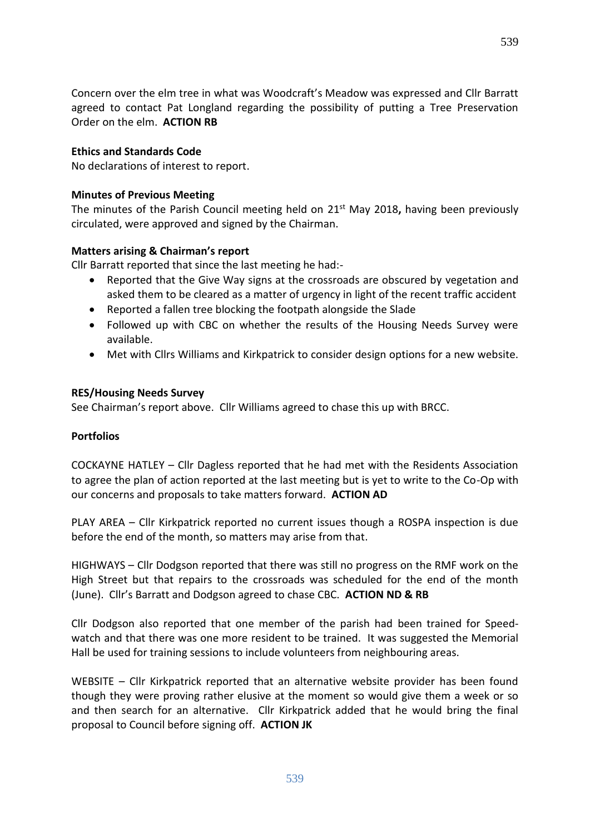Concern over the elm tree in what was Woodcraft's Meadow was expressed and Cllr Barratt agreed to contact Pat Longland regarding the possibility of putting a Tree Preservation Order on the elm. **ACTION RB**

#### **Ethics and Standards Code**

No declarations of interest to report.

#### **Minutes of Previous Meeting**

The minutes of the Parish Council meeting held on 21<sup>st</sup> May 2018, having been previously circulated, were approved and signed by the Chairman.

#### **Matters arising & Chairman's report**

Cllr Barratt reported that since the last meeting he had:-

- Reported that the Give Way signs at the crossroads are obscured by vegetation and asked them to be cleared as a matter of urgency in light of the recent traffic accident
- Reported a fallen tree blocking the footpath alongside the Slade
- Followed up with CBC on whether the results of the Housing Needs Survey were available.
- Met with Cllrs Williams and Kirkpatrick to consider design options for a new website.

#### **RES/Housing Needs Survey**

See Chairman's report above. Cllr Williams agreed to chase this up with BRCC.

#### **Portfolios**

COCKAYNE HATLEY – Cllr Dagless reported that he had met with the Residents Association to agree the plan of action reported at the last meeting but is yet to write to the Co-Op with our concerns and proposals to take matters forward. **ACTION AD**

PLAY AREA – Cllr Kirkpatrick reported no current issues though a ROSPA inspection is due before the end of the month, so matters may arise from that.

HIGHWAYS – Cllr Dodgson reported that there was still no progress on the RMF work on the High Street but that repairs to the crossroads was scheduled for the end of the month (June). Cllr's Barratt and Dodgson agreed to chase CBC. **ACTION ND & RB**

Cllr Dodgson also reported that one member of the parish had been trained for Speedwatch and that there was one more resident to be trained. It was suggested the Memorial Hall be used for training sessions to include volunteers from neighbouring areas.

WEBSITE – Cllr Kirkpatrick reported that an alternative website provider has been found though they were proving rather elusive at the moment so would give them a week or so and then search for an alternative. Cllr Kirkpatrick added that he would bring the final proposal to Council before signing off. **ACTION JK**

539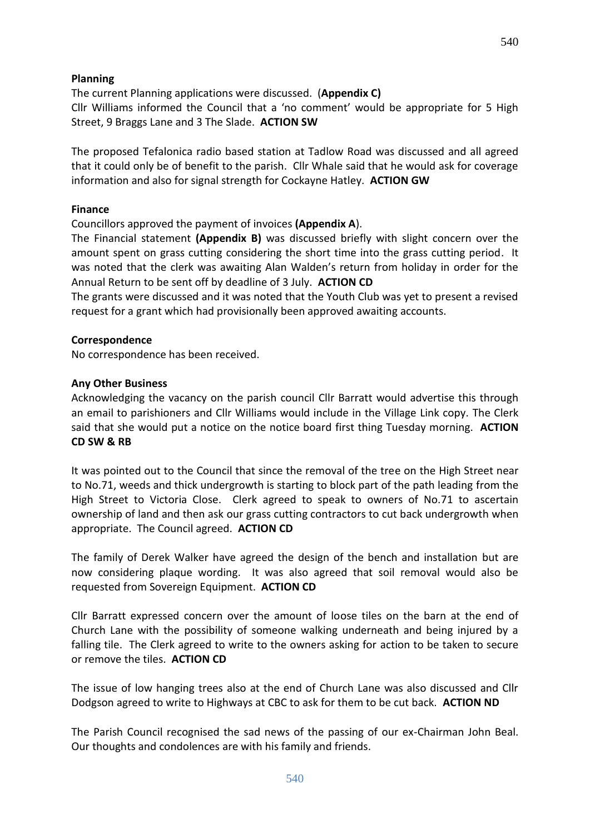#### **Planning**

The current Planning applications were discussed. (**Appendix C)** Cllr Williams informed the Council that a 'no comment' would be appropriate for 5 High Street, 9 Braggs Lane and 3 The Slade. **ACTION SW**

The proposed Tefalonica radio based station at Tadlow Road was discussed and all agreed that it could only be of benefit to the parish. Cllr Whale said that he would ask for coverage information and also for signal strength for Cockayne Hatley. **ACTION GW**

#### **Finance**

Councillors approved the payment of invoices **(Appendix A**).

The Financial statement **(Appendix B)** was discussed briefly with slight concern over the amount spent on grass cutting considering the short time into the grass cutting period. It was noted that the clerk was awaiting Alan Walden's return from holiday in order for the Annual Return to be sent off by deadline of 3 July. **ACTION CD**

The grants were discussed and it was noted that the Youth Club was yet to present a revised request for a grant which had provisionally been approved awaiting accounts.

#### **Correspondence**

No correspondence has been received.

#### **Any Other Business**

Acknowledging the vacancy on the parish council Cllr Barratt would advertise this through an email to parishioners and Cllr Williams would include in the Village Link copy. The Clerk said that she would put a notice on the notice board first thing Tuesday morning. **ACTION CD SW & RB**

It was pointed out to the Council that since the removal of the tree on the High Street near to No.71, weeds and thick undergrowth is starting to block part of the path leading from the High Street to Victoria Close. Clerk agreed to speak to owners of No.71 to ascertain ownership of land and then ask our grass cutting contractors to cut back undergrowth when appropriate. The Council agreed. **ACTION CD**

The family of Derek Walker have agreed the design of the bench and installation but are now considering plaque wording. It was also agreed that soil removal would also be requested from Sovereign Equipment. **ACTION CD**

Cllr Barratt expressed concern over the amount of loose tiles on the barn at the end of Church Lane with the possibility of someone walking underneath and being injured by a falling tile. The Clerk agreed to write to the owners asking for action to be taken to secure or remove the tiles. **ACTION CD**

The issue of low hanging trees also at the end of Church Lane was also discussed and Cllr Dodgson agreed to write to Highways at CBC to ask for them to be cut back. **ACTION ND**

The Parish Council recognised the sad news of the passing of our ex-Chairman John Beal. Our thoughts and condolences are with his family and friends.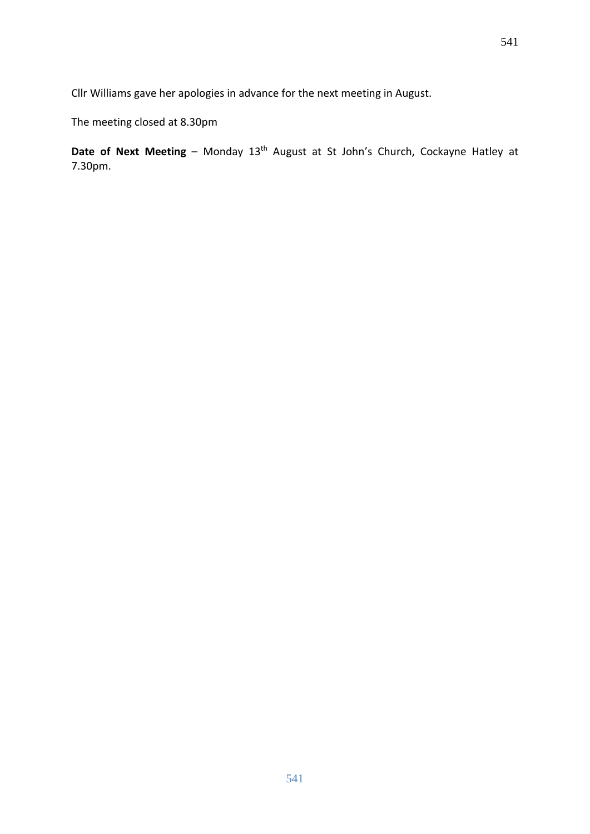Cllr Williams gave her apologies in advance for the next meeting in August.

The meeting closed at 8.30pm

**Date of Next Meeting** – Monday 13<sup>th</sup> August at St John's Church, Cockayne Hatley at 7.30pm.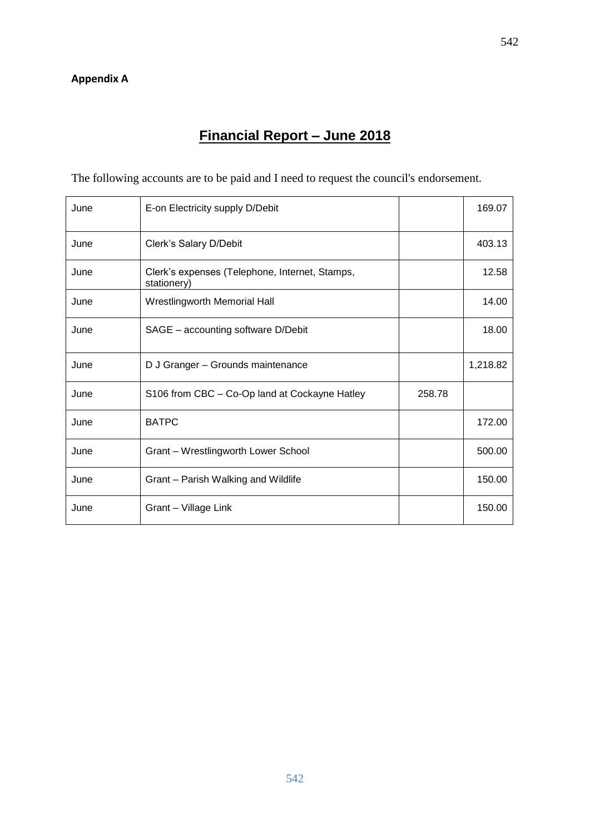# **Financial Report – June 2018**

The following accounts are to be paid and I need to request the council's endorsement.

| June | E-on Electricity supply D/Debit                               |        | 169.07   |
|------|---------------------------------------------------------------|--------|----------|
| June | Clerk's Salary D/Debit                                        |        | 403.13   |
| June | Clerk's expenses (Telephone, Internet, Stamps,<br>stationery) |        | 12.58    |
| June | Wrestlingworth Memorial Hall                                  |        | 14.00    |
| June | SAGE - accounting software D/Debit                            |        | 18.00    |
| June | D J Granger - Grounds maintenance                             |        | 1,218.82 |
| June | S106 from CBC - Co-Op land at Cockayne Hatley                 | 258.78 |          |
| June | <b>BATPC</b>                                                  |        | 172.00   |
| June | Grant - Wrestlingworth Lower School                           |        | 500.00   |
| June | Grant - Parish Walking and Wildlife                           |        | 150.00   |
| June | Grant - Village Link                                          |        | 150.00   |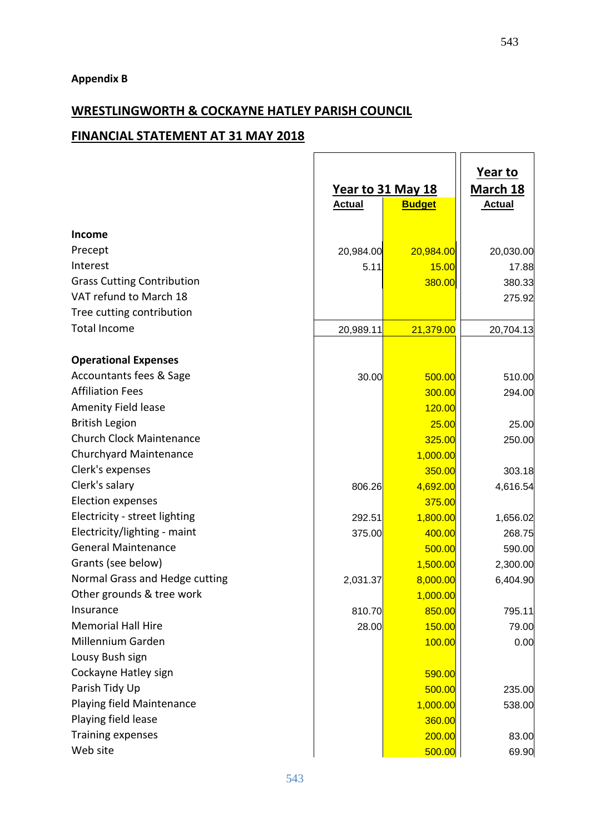## **WRESTLINGWORTH & COCKAYNE HATLEY PARISH COUNCIL**

#### **FINANCIAL STATEMENT AT 31 MAY 2018**

|                                   |               | <u>Year to 31 May 18</u> | <b>March 18</b> |
|-----------------------------------|---------------|--------------------------|-----------------|
|                                   | <b>Actual</b> | <b>Budget</b>            | <b>Actual</b>   |
|                                   |               |                          |                 |
| <b>Income</b>                     |               |                          |                 |
| Precept                           | 20,984.00     | 20,984.00                | 20,030.00       |
| Interest                          | 5.11          | 15.00                    | 17.88           |
| <b>Grass Cutting Contribution</b> |               | 380.00                   | 380.33          |
| VAT refund to March 18            |               |                          | 275.92          |
| Tree cutting contribution         |               |                          |                 |
| <b>Total Income</b>               | 20,989.11     | 21,379.00                | 20,704.13       |
| <b>Operational Expenses</b>       |               |                          |                 |
| Accountants fees & Sage           | 30.00         | 500.00                   | 510.00          |
| <b>Affiliation Fees</b>           |               | 300.00                   | 294.00          |
| Amenity Field lease               |               | 120.00                   |                 |
| <b>British Legion</b>             |               | 25.00                    | 25.00           |
| <b>Church Clock Maintenance</b>   |               | 325.00                   | 250.00          |
| Churchyard Maintenance            |               | 1,000.00                 |                 |
| Clerk's expenses                  |               | 350.00                   | 303.18          |
| Clerk's salary                    | 806.26        | 4,692.00                 | 4,616.54        |
| <b>Election expenses</b>          |               | 375.00                   |                 |
| Electricity - street lighting     | 292.51        | 1,800.00                 | 1,656.02        |
| Electricity/lighting - maint      | 375.00        | 400.00                   | 268.75          |
| <b>General Maintenance</b>        |               | 500.00                   | 590.00          |
| Grants (see below)                |               | 1,500.00                 | 2,300.00        |
| Normal Grass and Hedge cutting    | 2,031.37      | 8,000.00                 | 6,404.90        |
| Other grounds & tree work         |               | 1,000.00                 |                 |
| Insurance                         | 810.70        | 850.00                   | 795.11          |
| <b>Memorial Hall Hire</b>         | 28.00         | 150.00                   | 79.00           |
| Millennium Garden                 |               | 100.00                   | 0.00            |
| Lousy Bush sign                   |               |                          |                 |
| Cockayne Hatley sign              |               | 590.00                   |                 |
| Parish Tidy Up                    |               | 500.00                   | 235.00          |
| Playing field Maintenance         |               | 1,000.00                 | 538.00          |
| Playing field lease               |               | 360.00                   |                 |
| <b>Training expenses</b>          |               | 200.00                   | 83.00           |
| Web site                          |               |                          |                 |
|                                   |               | 500.00                   | 69.90           |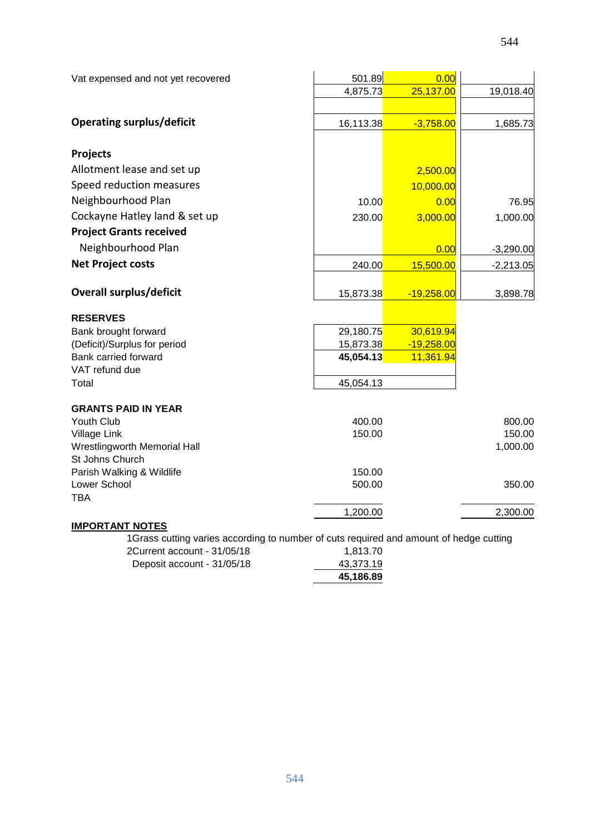| Vat expensed and not yet recovered              | 501.89    | 0.00         |             |
|-------------------------------------------------|-----------|--------------|-------------|
|                                                 | 4,875.73  | 25,137.00    | 19,018.40   |
|                                                 |           |              |             |
| <b>Operating surplus/deficit</b>                | 16,113.38 | $-3,758.00$  | 1,685.73    |
|                                                 |           |              |             |
| <b>Projects</b>                                 |           |              |             |
| Allotment lease and set up                      |           | 2,500.00     |             |
| Speed reduction measures                        |           | 10,000.00    |             |
| Neighbourhood Plan                              | 10.00     | 0.00         | 76.95       |
| Cockayne Hatley land & set up                   | 230.00    | 3,000.00     | 1,000.00    |
| <b>Project Grants received</b>                  |           |              |             |
| Neighbourhood Plan                              |           | 0.00         | $-3,290.00$ |
| <b>Net Project costs</b>                        | 240.00    | 15,500.00    | $-2,213.05$ |
|                                                 |           |              |             |
| <b>Overall surplus/deficit</b>                  | 15,873.38 | $-19,258.00$ | 3,898.78    |
| <b>RESERVES</b>                                 |           |              |             |
| Bank brought forward                            | 29,180.75 | 30,619.94    |             |
| (Deficit)/Surplus for period                    | 15,873.38 | $-19,258.00$ |             |
| Bank carried forward                            | 45,054.13 | 11,361.94    |             |
| VAT refund due                                  |           |              |             |
| Total                                           | 45,054.13 |              |             |
| <b>GRANTS PAID IN YEAR</b>                      |           |              |             |
| Youth Club                                      | 400.00    |              | 800.00      |
| Village Link                                    | 150.00    |              | 150.00      |
| Wrestlingworth Memorial Hall<br>St Johns Church |           |              | 1,000.00    |
| Parish Walking & Wildlife                       | 150.00    |              |             |
| Lower School                                    | 500.00    |              | 350.00      |
| <b>TBA</b>                                      |           |              |             |
|                                                 | 1,200.00  |              | 2,300.00    |
| <b>IMPORTANT NOTES</b>                          |           |              |             |

1Grass cutting varies according to number of cuts required and amount of hedge cutting

|                             | 45,186.89 |
|-----------------------------|-----------|
| Deposit account - 31/05/18  | 43,373.19 |
| 2Current account - 31/05/18 | 1,813.70  |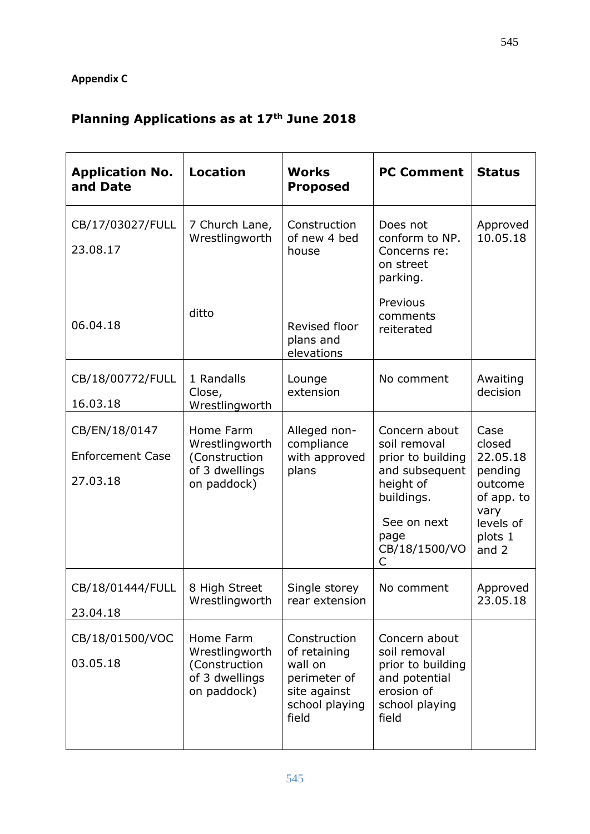## **Appendix C**

# **Planning Applications as at 17th June 2018**

| <b>Application No.</b><br>and Date                   | <b>Location</b>                                                               | <b>Works</b><br><b>Proposed</b>                                                                    | <b>PC Comment</b>                                                                                                                            | <b>Status</b>                                                                                             |
|------------------------------------------------------|-------------------------------------------------------------------------------|----------------------------------------------------------------------------------------------------|----------------------------------------------------------------------------------------------------------------------------------------------|-----------------------------------------------------------------------------------------------------------|
| CB/17/03027/FULL<br>23.08.17                         | 7 Church Lane,<br>Wrestlingworth                                              | Construction<br>of new 4 bed<br>house                                                              | Does not<br>conform to NP.<br>Concerns re:<br>on street<br>parking.                                                                          | Approved<br>10.05.18                                                                                      |
| 06.04.18                                             | ditto                                                                         | Revised floor<br>plans and<br>elevations                                                           | Previous<br>comments<br>reiterated                                                                                                           |                                                                                                           |
| CB/18/00772/FULL<br>16.03.18                         | 1 Randalls<br>Close,<br>Wrestlingworth                                        | Lounge<br>extension                                                                                | No comment                                                                                                                                   | Awaiting<br>decision                                                                                      |
| CB/EN/18/0147<br><b>Enforcement Case</b><br>27.03.18 | Home Farm<br>Wrestlingworth<br>(Construction<br>of 3 dwellings<br>on paddock) | Alleged non-<br>compliance<br>with approved<br>plans                                               | Concern about<br>soil removal<br>prior to building<br>and subsequent<br>height of<br>buildings.<br>See on next<br>page<br>CB/18/1500/VO<br>C | Case<br>closed<br>22.05.18<br>pending<br>outcome<br>of app. to<br>vary<br>levels of<br>plots 1<br>and $2$ |
| CB/18/01444/FULL<br>23.04.18                         | 8 High Street<br>Wrestlingworth                                               | Single storey<br>rear extension                                                                    | No comment                                                                                                                                   | Approved<br>23.05.18                                                                                      |
| CB/18/01500/VOC<br>03.05.18                          | Home Farm<br>Wrestlingworth<br>(Construction<br>of 3 dwellings<br>on paddock) | Construction<br>of retaining<br>wall on<br>perimeter of<br>site against<br>school playing<br>field | Concern about<br>soil removal<br>prior to building<br>and potential<br>erosion of<br>school playing<br>field                                 |                                                                                                           |